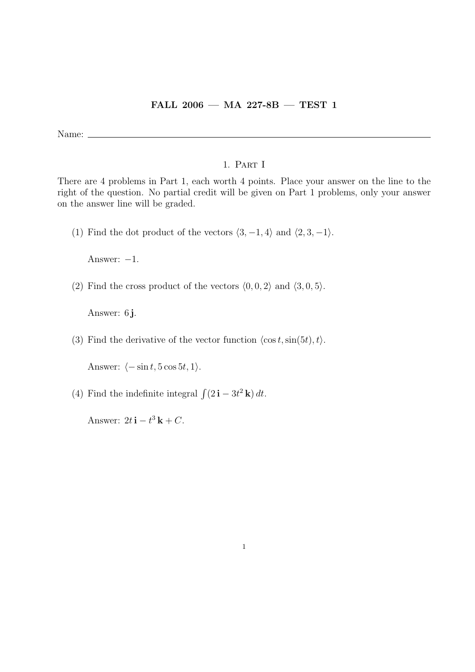## FALL 2006 — MA 227-8B — TEST 1

Name:  $\_\_$ 

## 1. Part I

There are 4 problems in Part 1, each worth 4 points. Place your answer on the line to the right of the question. No partial credit will be given on Part 1 problems, only your answer on the answer line will be graded.

(1) Find the dot product of the vectors  $\langle 3, -1, 4 \rangle$  and  $\langle 2, 3, -1 \rangle$ .

Answer:  $-1$ .

(2) Find the cross product of the vectors  $(0, 0, 2)$  and  $(3, 0, 5)$ .

Answer: 6 j.

(3) Find the derivative of the vector function  $\langle \cos t, \sin(5t), t \rangle$ .

Answer:  $\langle -\sin t, 5 \cos 5t, 1 \rangle$ .

(4) Find the indefinite integral  $\int (2 \mathbf{i} - 3t^2 \mathbf{k}) dt$ .

Answer:  $2t\mathbf{i} - t^3\mathbf{k} + C$ .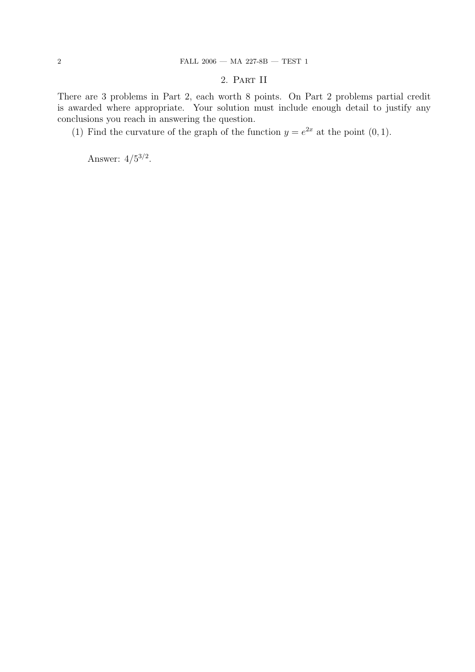## 2. Part II

There are 3 problems in Part 2, each worth 8 points. On Part 2 problems partial credit is awarded where appropriate. Your solution must include enough detail to justify any conclusions you reach in answering the question.

(1) Find the curvature of the graph of the function  $y = e^{2x}$  at the point  $(0, 1)$ .

Answer:  $4/5^{3/2}$ .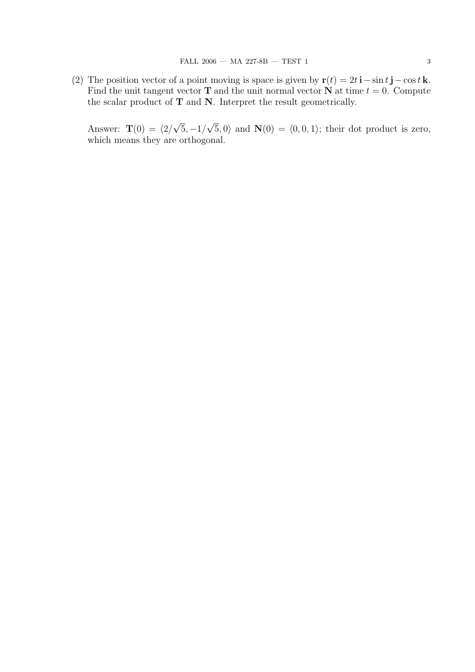(2) The position vector of a point moving is space is given by  $\mathbf{r}(t) = 2t\mathbf{i} - \sin t\mathbf{j} - \cos t\mathbf{k}$ . Find the unit tangent vector **T** and the unit normal vector **N** at time  $t = 0$ . Compute the scalar product of  $T$  and  $N$ . Interpret the result geometrically.

Answer:  $\mathbf{T}(0) = \langle 2 \rangle$ √  $5, -1/$ √  $(5, 0)$  and  $\mathbf{N}(0) = \langle 0, 0, 1 \rangle$ ; their dot product is zero, which means they are orthogonal.